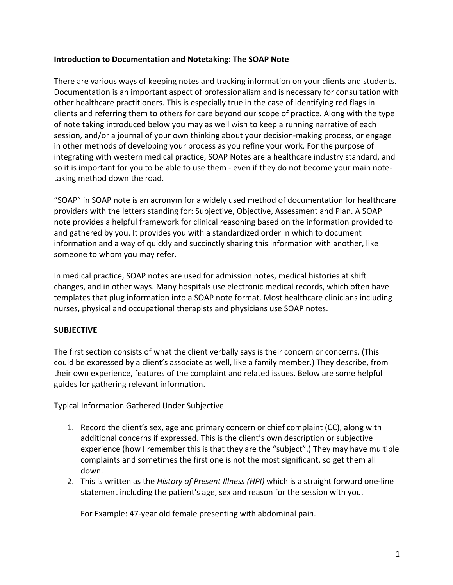### **Introduction to Documentation and Notetaking: The SOAP Note**

There are various ways of keeping notes and tracking information on your clients and students. Documentation is an important aspect of professionalism and is necessary for consultation with other healthcare practitioners. This is especially true in the case of identifying red flags in clients and referring them to others for care beyond our scope of practice. Along with the type of note taking introduced below you may as well wish to keep a running narrative of each session, and/or a journal of your own thinking about your decision-making process, or engage in other methods of developing your process as you refine your work. For the purpose of integrating with western medical practice, SOAP Notes are a healthcare industry standard, and so it is important for you to be able to use them - even if they do not become your main notetaking method down the road.

"SOAP" in SOAP note is an acronym for a widely used method of documentation for healthcare providers with the letters standing for: Subjective, Objective, Assessment and Plan. A SOAP note provides a helpful framework for clinical reasoning based on the information provided to and gathered by you. It provides you with a standardized order in which to document information and a way of quickly and succinctly sharing this information with another, like someone to whom you may refer.

In medical practice, SOAP notes are used for admission notes, medical histories at shift changes, and in other ways. Many hospitals use electronic medical records, which often have templates that plug information into a SOAP note format. Most healthcare clinicians including nurses, physical and occupational therapists and physicians use SOAP notes.

# **SUBJECTIVE**

The first section consists of what the client verbally says is their concern or concerns. (This could be expressed by a client's associate as well, like a family member.) They describe, from their own experience, features of the complaint and related issues. Below are some helpful guides for gathering relevant information.

# Typical Information Gathered Under Subjective

- 1. Record the client's sex, age and primary concern or chief complaint (CC), along with additional concerns if expressed. This is the client's own description or subjective experience (how I remember this is that they are the "subject".) They may have multiple complaints and sometimes the first one is not the most significant, so get them all down.
- 2. This is written as the *History of Present Illness (HPI)* which is a straight forward one-line statement including the patient's age, sex and reason for the session with you.

For Example: 47-year old female presenting with abdominal pain.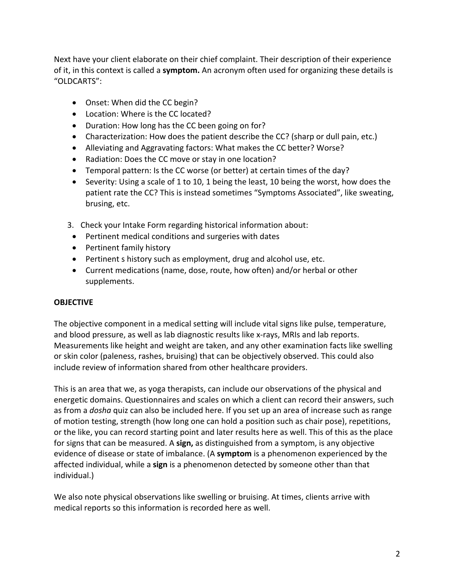Next have your client elaborate on their chief complaint. Their description of their experience of it, in this context is called a **symptom.** An acronym often used for organizing these details is "OLDCARTS":

- Onset: When did the CC begin?
- Location: Where is the CC located?
- Duration: How long has the CC been going on for?
- Characterization: How does the patient describe the CC? (sharp or dull pain, etc.)
- Alleviating and Aggravating factors: What makes the CC better? Worse?
- Radiation: Does the CC move or stay in one location?
- Temporal pattern: Is the CC worse (or better) at certain times of the day?
- Severity: Using a scale of 1 to 10, 1 being the least, 10 being the worst, how does the patient rate the CC? This is instead sometimes "Symptoms Associated", like sweating, brusing, etc.
- 3. Check your Intake Form regarding historical information about:
	- Pertinent medical conditions and surgeries with dates
	- Pertinent family history
	- Pertinent s history such as employment, drug and alcohol use, etc.
	- Current medications (name, dose, route, how often) and/or herbal or other supplements.

# **OBJECTIVE**

The objective component in a medical setting will include vital signs like pulse, temperature, and blood pressure, as well as lab diagnostic results like x-rays, MRIs and lab reports. Measurements like height and weight are taken, and any other examination facts like swelling or skin color (paleness, rashes, bruising) that can be objectively observed. This could also include review of information shared from other healthcare providers.

This is an area that we, as yoga therapists, can include our observations of the physical and energetic domains. Questionnaires and scales on which a client can record their answers, such as from a *dosha* quiz can also be included here. If you set up an area of increase such as range of motion testing, strength (how long one can hold a position such as chair pose), repetitions, or the like, you can record starting point and later results here as well. This of this as the place for signs that can be measured. A **sign,** as distinguished from a symptom, is any objective evidence of disease or state of imbalance. (A **symptom** is a phenomenon experienced by the affected individual, while a **sign** is a phenomenon detected by someone other than that individual.)

We also note physical observations like swelling or bruising. At times, clients arrive with medical reports so this information is recorded here as well.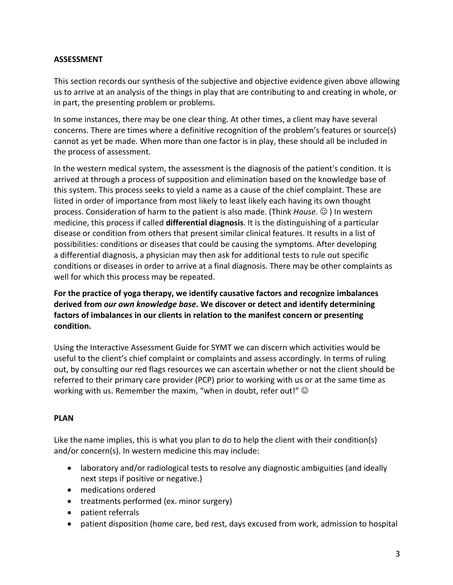### **ASSESSMENT**

This section records our synthesis of the subjective and objective evidence given above allowing us to arrive at an analysis of the things in play that are contributing to and creating in whole, or in part, the presenting problem or problems.

In some instances, there may be one clear thing. At other times, a client may have several concerns. There are times where a definitive recognition of the problem's features or source(s) cannot as yet be made. When more than one factor is in play, these should all be included in the process of assessment.

In the western medical system, the assessment is the diagnosis of the patient's condition. It is arrived at through a process of supposition and elimination based on the knowledge base of this system. This process seeks to yield a name as a cause of the chief complaint. These are listed in order of importance from most likely to least likely each having its own thought process. Consideration of harm to the patient is also made. (Think *House*.  $\odot$ ) In western medicine, this process if called **differential diagnosis**. It is the distinguishing of a particular disease or condition from others that present similar clinical features. It results in a list of possibilities: conditions or diseases that could be causing the symptoms. After developing a differential diagnosis, a physician may then ask for additional tests to rule out specific conditions or diseases in order to arrive at a final diagnosis. There may be other complaints as well for which this process may be repeated.

**For the practice of yoga therapy, we identify causative factors and recognize imbalances derived from** *our own knowledge base***. We discover or detect and identify determining factors of imbalances in our clients in relation to the manifest concern or presenting condition.** 

Using the Interactive Assessment Guide for SYMT we can discern which activities would be useful to the client's chief complaint or complaints and assess accordingly. In terms of ruling out, by consulting our red flags resources we can ascertain whether or not the client should be referred to their primary care provider (PCP) prior to working with us or at the same time as working with us. Remember the maxim, "when in doubt, refer out!"  $\odot$ 

# **PLAN**

Like the name implies, this is what you plan to do to help the client with their condition(s) and/or concern(s). In western medicine this may include:

- laboratory and/or radiological tests to resolve any diagnostic ambiguities (and ideally next steps if positive or negative.)
- medications ordered
- treatments performed (ex. minor surgery)
- patient referrals
- patient disposition (home care, bed rest, days excused from work, admission to hospital